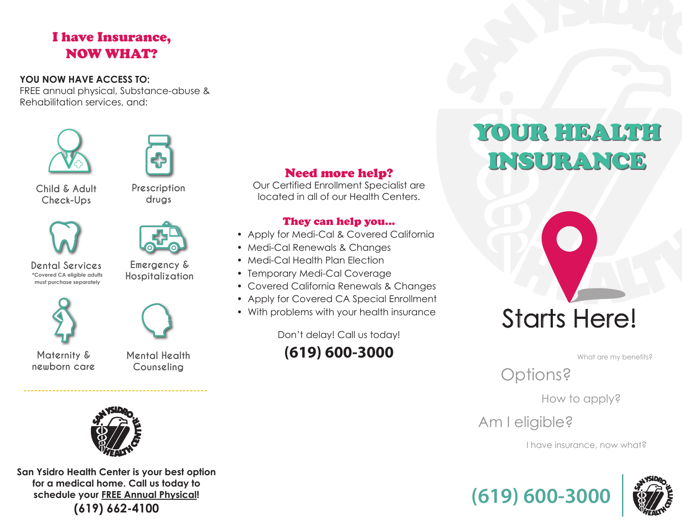# I have Insurance, NOW WHAT?

#### **YOU NOW HAVE ACCESS TO:**

FREE annual physical, Substance-abuse & Rehabilitation services, and:





**Child & Adult Check-Ups**

**Prescription drugs**





**Dental Services Emergency & \*Covered CA eligible adults must purchase separately** 

**Hospitalization**



**newborn care**

**Mental Health Counseling**



**---------------------------------------------------**

**San Ysidro Health Center is your best option for a medical home. Call us today to schedule your FREE Annual Physical! (619) 662-4100**

## Need more help?

Our Certified Enrollment Specialist are located in all of our Health Centers.

#### They can help you...

- Apply for Medi-Cal & Covered California
- Medi-Cal Renewals & Changes
- Medi-Cal Health Plan Election
- Temporary Medi-Cal Coverage
- Covered California Renewals & Changes
- Apply for Covered CA Special Enrollment
- With problems with your health insurance

Don't delay! Call us today!

**(619) 600-3000**

# YOUR HEALTH YOUR HEALTH INSURANCE INSURANCE



What are my benefits?

Options?

How to apply?

Am I eligible?

I have insurance, now what?